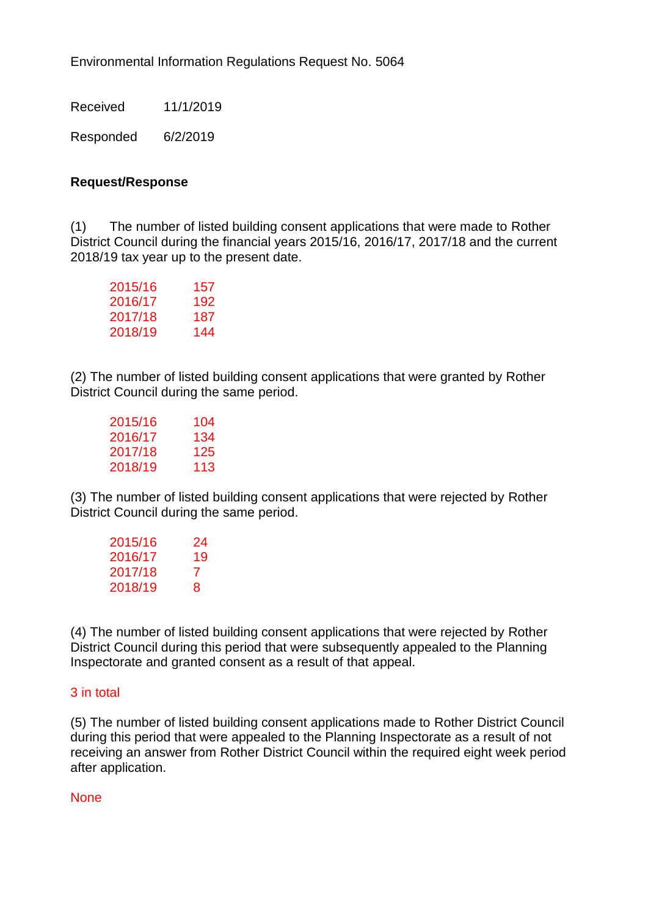Environmental Information Regulations Request No. 5064

Received 11/1/2019

Responded 6/2/2019

## **Request/Response**

(1) The number of listed building consent applications that were made to Rother District Council during the financial years 2015/16, 2016/17, 2017/18 and the current 2018/19 tax year up to the present date.

| 2015/16 | 157 |
|---------|-----|
| 2016/17 | 192 |
| 2017/18 | 187 |
| 2018/19 | 144 |

(2) The number of listed building consent applications that were granted by Rother District Council during the same period.

| 2015/16 | 104 |
|---------|-----|
| 2016/17 | 134 |
| 2017/18 | 125 |
| 2018/19 | 113 |
|         |     |

(3) The number of listed building consent applications that were rejected by Rother District Council during the same period.

| 2015/16 | 24 |
|---------|----|
| 2016/17 | 19 |
| 2017/18 | 7  |
| 2018/19 | 8  |

(4) The number of listed building consent applications that were rejected by Rother District Council during this period that were subsequently appealed to the Planning Inspectorate and granted consent as a result of that appeal.

## 3 in total

(5) The number of listed building consent applications made to Rother District Council during this period that were appealed to the Planning Inspectorate as a result of not receiving an answer from Rother District Council within the required eight week period after application.

## **None**